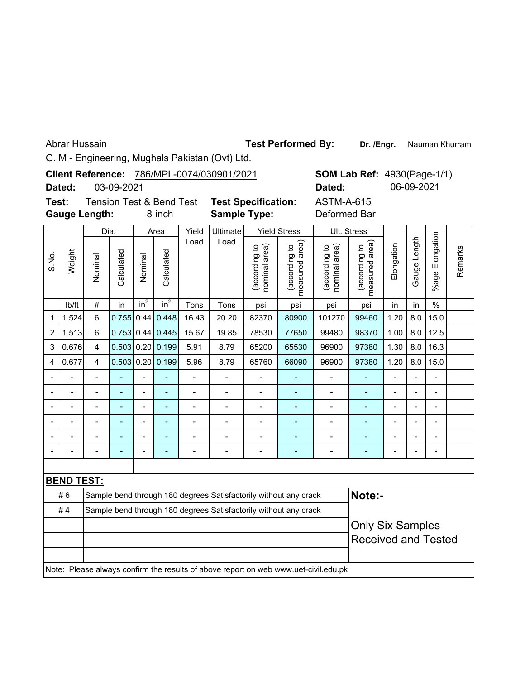Abrar Hussain

**Dr. /Engr.** Nauman Khurram **Test Performed By:**

G. M - Engineering, Mughals Pakistan (Ovt) Ltd.

|       |                      |                                                                  |                         |         |                                     |                              | Client Reference: 786/MPL-0074/030901/2021                       |                                |                                 |                                                                                     | <b>SOM Lab Ref: 4930(Page-1/1)</b> |                          |               |                              |         |
|-------|----------------------|------------------------------------------------------------------|-------------------------|---------|-------------------------------------|------------------------------|------------------------------------------------------------------|--------------------------------|---------------------------------|-------------------------------------------------------------------------------------|------------------------------------|--------------------------|---------------|------------------------------|---------|
|       | Dated:               |                                                                  | 03-09-2021              |         |                                     |                              |                                                                  |                                |                                 | Dated:                                                                              |                                    |                          | 06-09-2021    |                              |         |
| Test: |                      |                                                                  |                         |         | <b>Tension Test &amp; Bend Test</b> |                              | <b>Test Specification:</b>                                       |                                |                                 | <b>ASTM-A-615</b>                                                                   |                                    |                          |               |                              |         |
|       | <b>Gauge Length:</b> |                                                                  |                         |         | 8 inch                              |                              | <b>Sample Type:</b>                                              |                                |                                 | Deformed Bar                                                                        |                                    |                          |               |                              |         |
|       |                      | Dia.                                                             |                         |         | Area                                | Yield                        | Ultimate                                                         |                                | <b>Yield Stress</b>             |                                                                                     | Ult. Stress                        |                          |               |                              |         |
| S.No. | Weight               | Nominal                                                          | Calculated              | Nominal | Calculated                          | Load                         | Load                                                             | nominal area)<br>(according to | (according to<br>measured area) | nominal area)<br>(according to                                                      | measured area)<br>(according to    | Elongation               | Gauge Length  | Elongation<br>%age I         | Remarks |
|       | lb/ft                | #                                                                | in                      | $in^2$  | $in^2$                              | Tons                         | Tons                                                             | psi                            | psi                             | psi                                                                                 | psi                                | in                       | in            | $\frac{0}{0}$                |         |
| 1     | 1.524                | 6                                                                | 0.755                   | 0.44    | 0.448                               | 16.43                        | 20.20                                                            | 82370                          | 80900                           | 101270                                                                              | 99460                              | 1.20                     | 8.0           | 15.0                         |         |
| 2     | 1.513                | 6                                                                | 0.753                   |         | $0.44 \, 0.445$                     | 15.67                        | 19.85                                                            | 77650                          | 99480                           | 98370                                                                               | 1.00                               | 8.0                      | 12.5          |                              |         |
| 3     | 0.676                | $\overline{\mathbf{4}}$                                          | 0.503                   | 0.20    | 0.199                               | 5.91                         | 8.79                                                             | 65530                          | 96900                           | 97380                                                                               | 1.30                               | 8.0                      | 16.3          |                              |         |
| 4     | 0.677                | $\overline{\mathbf{4}}$                                          | 0.503                   | 0.20    | 0.199                               | 5.96                         | 8.79                                                             | 65760                          | 66090                           | 96900                                                                               | 97380                              | 1.20                     | 8.0           | 15.0                         |         |
|       |                      |                                                                  |                         |         |                                     | $\overline{a}$               |                                                                  |                                |                                 |                                                                                     |                                    |                          |               |                              |         |
|       |                      | $\overline{a}$                                                   |                         |         | ÷,                                  | $\overline{a}$               |                                                                  | $\overline{a}$                 |                                 | $\overline{a}$                                                                      | ÷,                                 |                          |               |                              |         |
|       |                      | $\overline{a}$                                                   | ۰                       |         | $\overline{a}$                      | $\qquad \qquad \blacksquare$ | -                                                                | $\overline{\phantom{a}}$       | ٠                               | $\overline{a}$                                                                      | $\blacksquare$                     | $\overline{\phantom{0}}$ | $\frac{1}{2}$ | $\qquad \qquad \blacksquare$ |         |
|       |                      |                                                                  | ۰                       |         |                                     | $\overline{\phantom{a}}$     |                                                                  |                                |                                 |                                                                                     |                                    |                          |               |                              |         |
|       |                      |                                                                  |                         |         |                                     | $\overline{a}$               |                                                                  |                                | Ē,                              |                                                                                     |                                    |                          |               |                              |         |
|       |                      |                                                                  |                         |         |                                     | $\overline{a}$               |                                                                  |                                |                                 |                                                                                     |                                    |                          |               |                              |         |
|       |                      |                                                                  |                         |         |                                     |                              |                                                                  |                                |                                 |                                                                                     |                                    |                          |               |                              |         |
|       | <b>BEND TEST:</b>    |                                                                  |                         |         |                                     |                              |                                                                  |                                |                                 |                                                                                     |                                    |                          |               |                              |         |
|       | #6                   |                                                                  |                         |         |                                     |                              | Sample bend through 180 degrees Satisfactorily without any crack |                                |                                 |                                                                                     | Note:-                             |                          |               |                              |         |
|       | #4                   | Sample bend through 180 degrees Satisfactorily without any crack |                         |         |                                     |                              |                                                                  |                                |                                 |                                                                                     |                                    |                          |               |                              |         |
|       |                      |                                                                  | <b>Only Six Samples</b> |         |                                     |                              |                                                                  |                                |                                 |                                                                                     |                                    |                          |               |                              |         |
|       |                      |                                                                  |                         |         |                                     |                              |                                                                  |                                |                                 |                                                                                     | <b>Received and Tested</b>         |                          |               |                              |         |
|       |                      |                                                                  |                         |         |                                     |                              |                                                                  |                                |                                 |                                                                                     |                                    |                          |               |                              |         |
|       |                      |                                                                  |                         |         |                                     |                              |                                                                  |                                |                                 | Note: Please always confirm the results of above report on web www.uet-civil.edu.pk |                                    |                          |               |                              |         |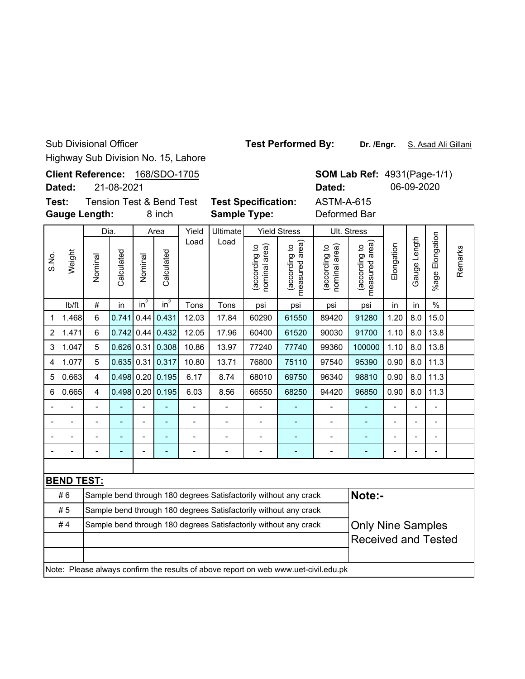Sub Divisional Officer

Highway Sub Division No. 15, Lahore

Client Reference: 168/SDO-1705

**Dated:** 21-08-2021

S.No.

**Gauge Lengt Test:**

Tension Test & Bend Test **Test Specification:** ASTM-A-615

**SOM Lab Ref: 4931(Page-1/1)** 

**Dated:** 06-09-2020

|         |        | auge Length: |            |         | 8 inch             |       | <b>Sample Type:</b> |                                                         |                                              | Deformed Bar                                     |                                         |            |                    |                       |
|---------|--------|--------------|------------|---------|--------------------|-------|---------------------|---------------------------------------------------------|----------------------------------------------|--------------------------------------------------|-----------------------------------------|------------|--------------------|-----------------------|
|         |        | Dia.         |            |         | Area               | Yield | <b>Ultimate</b>     |                                                         | <b>Yield Stress</b>                          |                                                  | Ult. Stress                             |            |                    |                       |
| gi<br>ω | Weight | Nominal      | Calculated | Nominal | Calculated         | Load  | Load                | <b>a</b><br>요<br>rding<br>ত্ত<br>nomina<br>8<br>ලි<br>ල | rea)<br>٩<br>(according<br>ত<br>red<br>measu | $\widehat{a}$<br>요<br>(according<br>ನ<br>nominal | rea)<br>요<br>according)<br>ω<br>easured | Elongation | ength<br>auge<br>O | Elongation<br>$%$ age |
|         | lb/ft  | #            | in         | $in^2$  | $\overline{in^2}$  | Tons  | Tons                | psi                                                     | psi                                          | psi                                              | psi                                     | in         | in                 | %                     |
|         | .468   | 6            |            |         | $0.741$ 0.44 0.431 | 12.03 | 17.84               | 60290                                                   | 61550                                        | 89420                                            | 91280                                   | 1.20       | 8.0                | 15.0                  |

2 1.471 6 0.742 0.44 0.432 12.05 17.96 60400 61520 90030 91700 1.10 8.0 13.8 3  $\vert$ 1.047 5  $\vert$ 0.626 0.31 0.308 10.86 13.97 77240 77740 99360 100000 1.10 8.0 13.8 4  $\vert$ 1.077 5  $\vert$  0.635 0.31  $\vert$  0.317 10.80 | 13.71 | 76800 | 75110 | 97540 | 95390 | 0.90 | 8.0 | 11.3 5 0.663 4 0.498 0.20 0.195 6.17 8.74 68010 69750 96340 98810 0.90 8.0 11.3 6  $\vert 0.665 \vert$  4  $\vert 0.498 \vert 0.20 \vert 0.195 \vert$  6.03  $\vert$  8.56  $\vert$  66550  $\vert$  68250  $\vert$  94420  $\vert$  96850  $\vert 0.90 \vert$  8.0 11.3 -- - - - - - - - - - - - -- -- - - - - - - - - - - - --

| <b>BEND TEST:</b>                                                                                  |  |  |  |  |  |  |  |                                                                                     |  |                            |  |  |  |  |
|----------------------------------------------------------------------------------------------------|--|--|--|--|--|--|--|-------------------------------------------------------------------------------------|--|----------------------------|--|--|--|--|
| Note:-<br>#6<br>Sample bend through 180 degrees Satisfactorily without any crack                   |  |  |  |  |  |  |  |                                                                                     |  |                            |  |  |  |  |
| #5<br>Sample bend through 180 degrees Satisfactorily without any crack                             |  |  |  |  |  |  |  |                                                                                     |  |                            |  |  |  |  |
| #4<br><b>Only Nine Samples</b><br>Sample bend through 180 degrees Satisfactorily without any crack |  |  |  |  |  |  |  |                                                                                     |  |                            |  |  |  |  |
|                                                                                                    |  |  |  |  |  |  |  |                                                                                     |  | <b>Received and Tested</b> |  |  |  |  |
|                                                                                                    |  |  |  |  |  |  |  |                                                                                     |  |                            |  |  |  |  |
|                                                                                                    |  |  |  |  |  |  |  | Note: Please always confirm the results of above report on web www.uet-civil.edu.pk |  |                            |  |  |  |  |

## **Test Performed By:**

**Dr. /Engr.** S. Asad Ali Gillani

Remarks

Remarks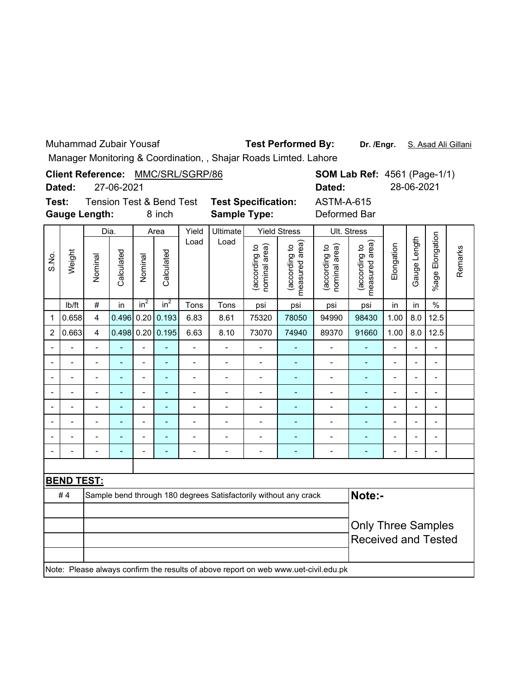Muhammad Zubair Yousaf

Test Performed By: Dr. /Engr. S. Asad Ali Gillani

Manager Monitoring & Coordination, , Shajar Roads Limted. Lahore

|       | Manager Monitoring & Coordination, , Shajar Koaus Limteu. Lanore<br>Client Reference: MMC/SRL/SGRP/86 |                |                |                            |                                               |                |                                                                  |                                |                                 |                                   |                                                         |                |                |                          |         |
|-------|-------------------------------------------------------------------------------------------------------|----------------|----------------|----------------------------|-----------------------------------------------|----------------|------------------------------------------------------------------|--------------------------------|---------------------------------|-----------------------------------|---------------------------------------------------------|----------------|----------------|--------------------------|---------|
|       | Dated:                                                                                                |                | 27-06-2021     |                            |                                               |                |                                                                  |                                |                                 | Dated:                            | <b>SOM Lab Ref: 4561 (Page-1/1)</b>                     |                | 28-06-2021     |                          |         |
| Test: | <b>Gauge Length:</b>                                                                                  |                |                |                            | <b>Tension Test &amp; Bend Test</b><br>8 inch |                | <b>Test Specification:</b><br><b>Sample Type:</b>                |                                |                                 | <b>ASTM-A-615</b><br>Deformed Bar |                                                         |                |                |                          |         |
|       |                                                                                                       | Dia.           |                |                            | Area                                          | Yield          | <b>Ultimate</b>                                                  |                                | <b>Yield Stress</b>             |                                   | Ult. Stress                                             |                |                |                          |         |
| S.No. | Weight                                                                                                | Nominal        | Calculated     | Nominal<br>in <sup>2</sup> | Calculated<br>$in^2$                          | Load<br>Tons   | Load<br>Tons                                                     | nominal area)<br>(according to | measured area)<br>(according to | nominal area)<br>(according to    | measured area)<br>(according to                         | Elongation     | Gauge Length   | Elongation<br>%age       | Remarks |
|       | Ib/ft                                                                                                 | $\#$           | in             | psi                        | in                                            | in             | $\%$                                                             |                                |                                 |                                   |                                                         |                |                |                          |         |
| 1     | 0.658                                                                                                 | $\overline{4}$ | 0.496          | 0.20                       | 94990                                         | 98430          | 1.00                                                             | 8.0                            | 12.5                            |                                   |                                                         |                |                |                          |         |
| 2     | 0.663                                                                                                 | $\overline{4}$ | $0.498$ 0.20   |                            | 89370                                         | 91660          | 1.00                                                             | 8.0                            | 12.5                            |                                   |                                                         |                |                |                          |         |
|       |                                                                                                       | $\overline{a}$ |                |                            |                                               | $\overline{a}$ | $\overline{\phantom{a}}$                                         | $\blacksquare$                 | $\overline{\phantom{0}}$        |                                   |                                                         |                |                |                          |         |
|       |                                                                                                       |                |                |                            | L,                                            | $\overline{a}$ | -                                                                | $\blacksquare$                 | $\blacksquare$                  | ÷                                 |                                                         |                |                |                          |         |
|       |                                                                                                       | $\overline{a}$ | ٠              | $\overline{a}$             | ä,                                            | $\overline{a}$ | $\overline{a}$                                                   | $\overline{a}$                 | $\blacksquare$                  | $\overline{\phantom{a}}$          | $\overline{\phantom{a}}$                                | $\overline{a}$ | $\overline{a}$ | $\blacksquare$           |         |
|       |                                                                                                       | $\overline{a}$ | $\blacksquare$ | $\overline{a}$             | ÷,                                            | $\overline{a}$ | $\overline{\phantom{0}}$                                         | $\frac{1}{2}$                  | $\blacksquare$                  | $\frac{1}{2}$                     | ÷,                                                      | $\overline{a}$ | $\overline{a}$ | $\overline{\phantom{a}}$ |         |
|       |                                                                                                       |                |                | $\overline{a}$             | L.                                            | $\overline{a}$ | $\overline{a}$                                                   | $\blacksquare$                 | $\blacksquare$                  | $\overline{a}$                    | $\blacksquare$                                          | $\overline{a}$ |                |                          |         |
|       |                                                                                                       |                |                |                            | $\overline{a}$                                | L,             | $\overline{a}$                                                   | $\blacksquare$                 | $\blacksquare$                  | $\overline{a}$                    | ÷                                                       | $\overline{a}$ |                |                          |         |
|       |                                                                                                       | $\overline{a}$ | ÷              | $\overline{a}$             | $\blacksquare$                                | $\overline{a}$ | $\overline{a}$                                                   | $\overline{a}$                 | ä,                              | $\overline{a}$                    | ä,                                                      | $\overline{a}$ | $\overline{a}$ | $\blacksquare$           |         |
|       |                                                                                                       |                |                | $\overline{a}$             | L                                             | $\overline{a}$ | $\overline{a}$                                                   | $\overline{a}$                 | ٠                               | $\blacksquare$                    | L.                                                      | ÷              |                |                          |         |
|       |                                                                                                       |                |                |                            |                                               |                |                                                                  |                                |                                 |                                   |                                                         |                |                |                          |         |
|       | <b>BEND TEST:</b>                                                                                     |                |                |                            |                                               |                |                                                                  |                                |                                 |                                   |                                                         |                |                |                          |         |
|       | #4                                                                                                    |                |                |                            |                                               |                | Sample bend through 180 degrees Satisfactorily without any crack |                                |                                 |                                   | Note:-                                                  |                |                |                          |         |
|       |                                                                                                       |                |                |                            |                                               |                |                                                                  |                                |                                 |                                   | <b>Only Three Samples</b><br><b>Received and Tested</b> |                |                |                          |         |
|       |                                                                                                       |                |                |                            |                                               |                |                                                                  |                                |                                 |                                   |                                                         |                |                |                          |         |

Note: Please always confirm the results of above report on web www.uet-civil.edu.pk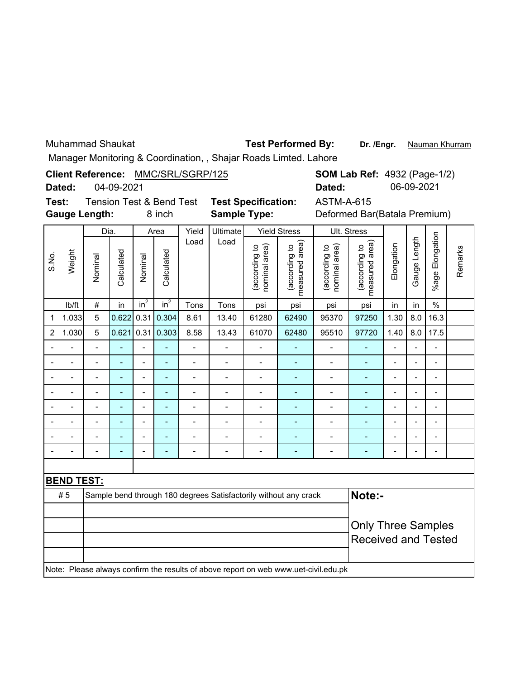Muhammad Shaukat

### **Test Performed By:**

Dr. /Engr. Nauman Khurram

Manager Monitoring & Coordination, , Shajar Roads Limted. Lahore

**SOM Lab Ref: 4932 (Page-1/2) Client Reference:** MMC/SRL/SGRP/125 04-09-2021 **Dated:** 06-09-2021 **Dated:**

| Test: | Tension Test & B     |  |      |
|-------|----------------------|--|------|
|       | <b>Gauge Length:</b> |  | 8 ir |

**Sample Type:** lend Test **Test Specification:** 

8 inch **Sample Type:** Deformed Bar(Batala Premium) ASTM-A-615

|                |                          | Dia.                     |            |                 | Area                     |                | Ult. Stress              |                                |                                                                                     |                                |                                 |                          |                          |                          |         |
|----------------|--------------------------|--------------------------|------------|-----------------|--------------------------|----------------|--------------------------|--------------------------------|-------------------------------------------------------------------------------------|--------------------------------|---------------------------------|--------------------------|--------------------------|--------------------------|---------|
| S.No.          | Weight                   | Nominal                  | Calculated | Nominal         | Calculated               | Load           | Load                     | nominal area)<br>(according to | measured area)<br>(according to                                                     | (according to<br>nominal area) | measured area)<br>(according to | Elongation               | Gauge Length             | %age Elongation          | Remarks |
|                | Ib/ft                    | $\#$                     | in         | in <sup>2</sup> | in <sup>2</sup>          | Tons           | Tons                     | psi                            | psi                                                                                 | psi                            | psi                             | in                       | in                       | $\%$                     |         |
| 1              | 1.033                    | 5                        | 0.622      | 0.31            | 0.304                    | 8.61           | 13.40                    | 61280                          | 62490                                                                               | 95370                          | 97250                           | 1.30                     | 8.0                      | 16.3                     |         |
| $\overline{c}$ | 1.030                    | 5                        | 0.621      | 0.31            | 0.303                    | 8.58           | 13.43                    | 61070                          | 62480                                                                               | 95510                          | 97720                           | 1.40                     | 8.0                      | 17.5                     |         |
|                |                          |                          |            |                 |                          | $\overline{a}$ |                          |                                |                                                                                     |                                |                                 |                          |                          |                          |         |
|                | $\overline{\phantom{a}}$ | $\overline{\phantom{a}}$ | ÷,         | -               | $\overline{\phantom{a}}$ | -              | $\overline{a}$           | $\overline{\phantom{0}}$       | ۰                                                                                   | $\overline{\phantom{0}}$       | ÷,                              | $\overline{a}$           | $\overline{\phantom{a}}$ | $\overline{\phantom{0}}$ |         |
|                |                          | L,                       | ÷          | $\overline{a}$  | $\blacksquare$           | $\overline{a}$ | $\overline{a}$           | $\blacksquare$                 | L,                                                                                  | $\overline{\phantom{0}}$       | ÷,                              | Ē,                       | $\overline{\phantom{a}}$ | $\overline{\phantom{0}}$ |         |
|                |                          | $\blacksquare$           | ÷          | $\overline{a}$  | $\blacksquare$           | -              | $\blacksquare$           | $\overline{\phantom{0}}$       | ÷                                                                                   | $\overline{\phantom{a}}$       | $\overline{\phantom{a}}$        | $\overline{\phantom{a}}$ | L,                       | $\overline{\phantom{0}}$ |         |
|                |                          | Ĭ.                       | L,         | -               | $\blacksquare$           | $\overline{a}$ | $\overline{a}$           | $\blacksquare$                 | ÷                                                                                   | $\overline{a}$                 | ÷                               | ٠                        | Ĭ.                       | $\overline{\phantom{0}}$ |         |
|                |                          | $\blacksquare$           | ä,         | $\overline{a}$  | $\blacksquare$           | $\overline{a}$ | $\overline{a}$           | L,                             | ÷,                                                                                  | $\blacksquare$                 | $\blacksquare$                  | $\overline{\phantom{a}}$ | $\overline{a}$           | L,                       |         |
|                |                          |                          |            | $\overline{a}$  | Ē,                       |                |                          | $\blacksquare$                 |                                                                                     | L,                             |                                 |                          | Ĭ.                       | $\blacksquare$           |         |
|                |                          |                          | ۰          | $\blacksquare$  | $\overline{a}$           | $\blacksquare$ | $\overline{\phantom{a}}$ | $\overline{a}$                 | ÷                                                                                   | $\blacksquare$                 | ۰                               |                          | ÷                        |                          |         |
|                |                          |                          |            |                 |                          |                |                          |                                |                                                                                     |                                |                                 |                          |                          |                          |         |
|                | <b>BEND TEST:</b>        |                          |            |                 |                          |                |                          |                                |                                                                                     |                                |                                 |                          |                          |                          |         |
|                | #5                       |                          |            |                 |                          |                |                          |                                | Sample bend through 180 degrees Satisfactorily without any crack                    |                                | Note:-                          |                          |                          |                          |         |
|                |                          |                          |            |                 |                          |                |                          |                                |                                                                                     |                                |                                 |                          |                          |                          |         |
|                |                          |                          |            |                 |                          |                |                          |                                |                                                                                     |                                | <b>Only Three Samples</b>       |                          |                          |                          |         |
|                |                          |                          |            |                 |                          |                |                          |                                |                                                                                     |                                | <b>Received and Tested</b>      |                          |                          |                          |         |
|                |                          |                          |            |                 |                          |                |                          |                                |                                                                                     |                                |                                 |                          |                          |                          |         |
|                |                          |                          |            |                 |                          |                |                          |                                | Note: Please always confirm the results of above report on web www.uet-civil.edu.pk |                                |                                 |                          |                          |                          |         |
|                |                          |                          |            |                 |                          |                |                          |                                |                                                                                     |                                |                                 |                          |                          |                          |         |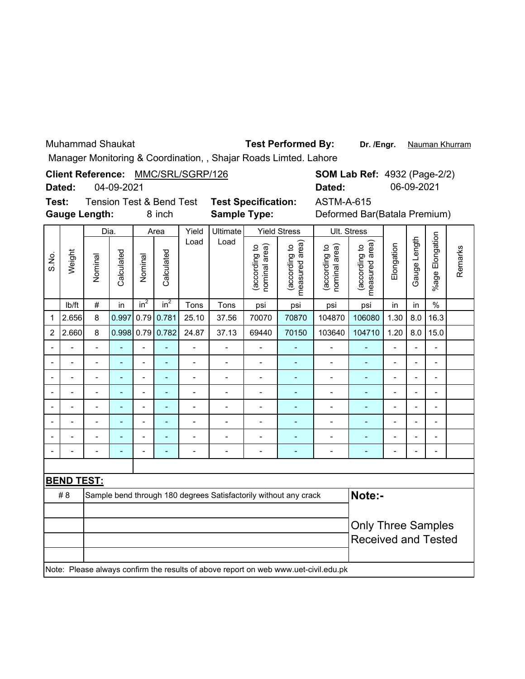Muhammad Shaukat

### **Test Performed By:**

Dr. /Engr. Nauman Khurram

 $\overline{\phantom{0}}$ 

Manager Monitoring & Coordination, , Shajar Roads Limted. Lahore

**Client Reference:** MMC/SRL/SGRP/126 04-09-2021 **Dated:**

|        | <b>SOM Lab Ref: 4932 (Page-2/2)</b> |
|--------|-------------------------------------|
| Dated: | 06-09-2021                          |

**Test: Gauge Length:**

**Sample Type:** Tension Test & Bend Test **Test Specification:**

8 inch **Sample Type:** Deformed Bar(Batala Premium) ASTM-A-615

|                |                   | Dia.           |                |                | Area           | Yield          | Ultimate                   |                                | <b>Yield Stress</b>                                                                 | Ult. Stress                    |                                 |                          |                          |                          |         |
|----------------|-------------------|----------------|----------------|----------------|----------------|----------------|----------------------------|--------------------------------|-------------------------------------------------------------------------------------|--------------------------------|---------------------------------|--------------------------|--------------------------|--------------------------|---------|
| S.No.          | Weight            | Nominal        | Calculated     | Nominal        | Calculated     | Load           | Load                       | nominal area)<br>(according to | measured area)<br>(according to                                                     | (according to<br>nominal area) | measured area)<br>(according to | Elongation               | Gauge Length             | %age Elongation          | Remarks |
|                | Ib/ft             | $\#$           | in             | $in^2$         | $in^2$         | Tons           | Tons                       | psi                            | psi                                                                                 | psi                            | psi                             | in                       | in                       | $\%$                     |         |
| 1              | 2.656             | 8              | 0.997          | 0.79           | 0.781          | 25.10          | 37.56                      | 70070                          | 70870                                                                               | 104870                         | 106080                          | 1.30                     | 8.0                      | 16.3                     |         |
| 2              | 2.660             | 8              | 0.998          | 0.79           | 0.782          | 24.87          | 37.13                      | 69440                          | 70150                                                                               | 103640                         | 104710                          | 1.20                     | 8.0                      | 15.0                     |         |
|                |                   | $\blacksquare$ |                | $\overline{a}$ |                | -              |                            | $\overline{a}$                 |                                                                                     |                                |                                 | $\blacksquare$           | $\overline{a}$           | -                        |         |
| $\blacksquare$ |                   |                | $\overline{a}$ | $\blacksquare$ | $\overline{a}$ | $\overline{a}$ | $\overline{\phantom{a}}$   | $\overline{a}$                 | ۳                                                                                   |                                | L.                              | ۰                        | $\overline{a}$           | ۰                        |         |
|                |                   |                | ÷              | $\overline{a}$ |                | -              | $\blacksquare$             | $\blacksquare$                 | ÷                                                                                   | ٠                              | ٠                               | ٠                        | $\overline{\phantom{0}}$ | $\overline{\phantom{0}}$ |         |
|                |                   | $\blacksquare$ | ÷              | $\blacksquare$ |                | $\overline{a}$ | $\blacksquare$             | $\blacksquare$                 | ÷                                                                                   | L,                             | Ē,                              | ÷                        | $\blacksquare$           | $\overline{\phantom{0}}$ |         |
|                |                   | $\blacksquare$ | $\blacksquare$ | $\overline{a}$ | ÷              | $\overline{a}$ | $\overline{a}$             | $\overline{\phantom{0}}$       | ÷                                                                                   | $\blacksquare$                 | $\blacksquare$                  | $\blacksquare$           | L,                       | $\overline{\phantom{0}}$ |         |
|                | ۰                 | $\overline{a}$ | $\blacksquare$ | $\overline{a}$ | ÷              | -              | $\overline{a}$             | $\overline{\phantom{0}}$       | ٠                                                                                   | $\overline{\phantom{a}}$       | ÷                               | $\overline{\phantom{a}}$ | $\blacksquare$           | $\overline{\phantom{0}}$ |         |
|                | $\blacksquare$    | $\overline{a}$ | $\blacksquare$ | $\blacksquare$ | $\blacksquare$ | -              | $\overline{a}$             | $\overline{a}$                 | ÷,                                                                                  | Ĭ.                             | ٠                               | ۰                        | $\overline{a}$           | $\blacksquare$           |         |
|                | $\overline{a}$    | $\overline{a}$ | $\blacksquare$ | $\overline{a}$ | L,             | -              | $\overline{a}$             | $\overline{\phantom{0}}$       | ٠                                                                                   | $\overline{\phantom{a}}$       | ÷,                              | Ĭ.                       | $\blacksquare$           | $\overline{\phantom{0}}$ |         |
|                |                   |                |                |                |                |                |                            |                                |                                                                                     |                                |                                 |                          |                          |                          |         |
|                | <b>BEND TEST:</b> |                |                |                |                |                |                            |                                |                                                                                     |                                |                                 |                          |                          |                          |         |
|                | #8                |                |                |                |                |                |                            |                                | Sample bend through 180 degrees Satisfactorily without any crack                    |                                | Note:-                          |                          |                          |                          |         |
|                |                   |                |                |                |                |                |                            |                                |                                                                                     |                                |                                 |                          |                          |                          |         |
|                |                   |                |                |                |                |                |                            |                                |                                                                                     |                                | <b>Only Three Samples</b>       |                          |                          |                          |         |
|                |                   |                |                |                |                |                | <b>Received and Tested</b> |                                |                                                                                     |                                |                                 |                          |                          |                          |         |
|                |                   |                |                |                |                |                |                            |                                |                                                                                     |                                |                                 |                          |                          |                          |         |
|                |                   |                |                |                |                |                |                            |                                | Note: Please always confirm the results of above report on web www.uet-civil.edu.pk |                                |                                 |                          |                          |                          |         |
|                |                   |                |                |                |                |                |                            |                                |                                                                                     |                                |                                 |                          |                          |                          |         |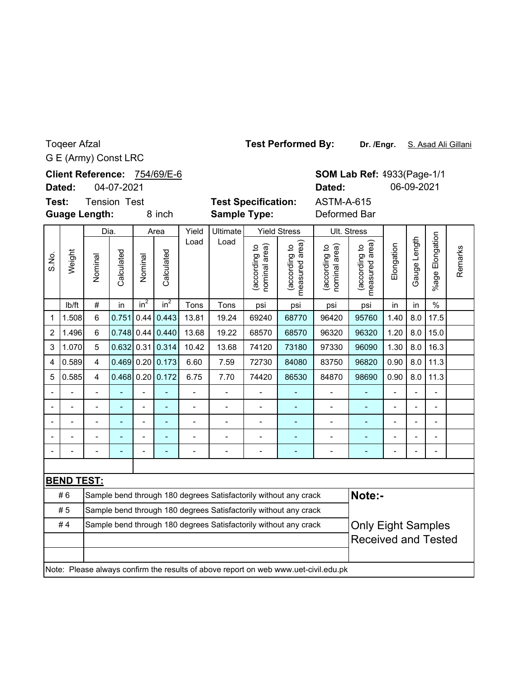# G E (Army) Const LRC Toqeer Afzal

|                | Dated:                                                                 |                      | 04-07-2021          |                |                  |                |                                                                  |                                |                                 | Dated:                                                                              |                                 |                          | 06-09-2021     |                       |         |
|----------------|------------------------------------------------------------------------|----------------------|---------------------|----------------|------------------|----------------|------------------------------------------------------------------|--------------------------------|---------------------------------|-------------------------------------------------------------------------------------|---------------------------------|--------------------------|----------------|-----------------------|---------|
| Test:          |                                                                        | <b>Guage Length:</b> | <b>Tension Test</b> |                | 8 inch           |                | <b>Sample Type:</b>                                              | <b>Test Specification:</b>     |                                 | <b>ASTM-A-615</b><br>Deformed Bar                                                   |                                 |                          |                |                       |         |
|                |                                                                        |                      | Dia.                |                | Area             | Yield          | Ultimate                                                         |                                | <b>Yield Stress</b>             |                                                                                     | Ult. Stress                     |                          |                |                       |         |
| S.No.          | Weight                                                                 | Nominal              | Calculated          | Nominal        | Calculated       | Load           | Load                                                             | (according to<br>nominal area) | measured area)<br>(according to | nominal area)<br>(according to                                                      | measured area)<br>(according to | Elongation               | Gauge Length   | Elongation<br>$%$ age | Remarks |
|                | lb/ft                                                                  | $\#$                 | in                  | $in^2$         | in <sup>2</sup>  | Tons           | Tons                                                             | psi                            | psi                             | psi                                                                                 | psi                             | in                       | in             | $\frac{0}{0}$         |         |
| $\mathbf 1$    | 1.508                                                                  | 6                    | 0.751               | 0.44           | 0.443            | 13.81          | 19.24                                                            | 69240                          | 68770                           | 96420                                                                               | 95760                           | 1.40                     | 8.0            | 17.5                  |         |
| $\overline{2}$ | 1.496                                                                  | 6                    | 0.748               | 0.44           | 0.440            | 13.68          | 19.22                                                            | 68570                          | 68570                           | 96320                                                                               | 96320                           | 1.20                     | 8.0            | 15.0                  |         |
| 3              | 1.070                                                                  | 5                    | 0.632               |                | 0.31   0.314     | 10.42          | 13.68                                                            | 74120                          | 73180                           | 97330                                                                               | 96090                           | 1.30                     | 8.0            | 16.3                  |         |
| $\overline{4}$ | 0.589                                                                  | $\overline{4}$       | 0.469               |                | 0.20   0.173     | 6.60           | 7.59                                                             | 72730                          | 84080                           | 83750                                                                               | 96820                           | 0.90                     | 8.0            | 11.3                  |         |
| 5              | 0.585                                                                  | $\overline{4}$       |                     |                | 0.468 0.20 0.172 | 6.75           | 7.70                                                             | 74420                          | 84870                           | 98690                                                                               | 0.90                            | 8.0                      | 11.3           |                       |         |
|                |                                                                        |                      |                     |                |                  | $\overline{a}$ | $\blacksquare$                                                   |                                |                                 | $\overline{a}$                                                                      | ÷,                              | $\overline{a}$           |                |                       |         |
|                | $\blacksquare$                                                         |                      | ÷                   | $\blacksquare$ | ٠                | -              | $\blacksquare$                                                   | $\blacksquare$                 | ÷,                              | $\overline{\phantom{0}}$                                                            | ÷,                              | $\overline{\phantom{0}}$ | L,             | $\overline{a}$        |         |
|                | $\overline{a}$                                                         | $\blacksquare$       |                     | $\overline{a}$ |                  | $\overline{a}$ | $\overline{a}$                                                   | $\overline{a}$                 | $\overline{\phantom{a}}$        | $\overline{a}$                                                                      | $\overline{\phantom{a}}$        | $\overline{a}$           | $\overline{a}$ | $\overline{a}$        |         |
|                |                                                                        |                      |                     |                |                  |                |                                                                  |                                |                                 | -                                                                                   |                                 |                          |                | $\blacksquare$        |         |
|                |                                                                        |                      |                     |                |                  |                |                                                                  |                                |                                 |                                                                                     |                                 |                          |                |                       |         |
|                |                                                                        |                      |                     |                |                  |                |                                                                  |                                |                                 |                                                                                     |                                 |                          |                |                       |         |
|                | <b>BEND TEST:</b>                                                      |                      |                     |                |                  |                |                                                                  |                                |                                 |                                                                                     |                                 |                          |                |                       |         |
|                | #6                                                                     |                      |                     |                |                  |                | Sample bend through 180 degrees Satisfactorily without any crack |                                |                                 |                                                                                     | Note:-                          |                          |                |                       |         |
|                | #5<br>Sample bend through 180 degrees Satisfactorily without any crack |                      |                     |                |                  |                |                                                                  |                                |                                 |                                                                                     |                                 |                          |                |                       |         |
|                | #4                                                                     |                      |                     |                |                  |                | Sample bend through 180 degrees Satisfactorily without any crack |                                |                                 |                                                                                     | <b>Only Eight Samples</b>       |                          |                |                       |         |
|                |                                                                        |                      |                     |                |                  |                |                                                                  |                                |                                 |                                                                                     | <b>Received and Tested</b>      |                          |                |                       |         |
|                |                                                                        |                      |                     |                |                  |                |                                                                  |                                |                                 | Note: Please always confirm the results of above report on web www.uet-civil.edu.pk |                                 |                          |                |                       |         |

**Dr. /Engr.** S. Asad Ali Gillani **Test Performed By:**

Client Reference: 754/69/E-6

**Dated:**

**SOM Lab Ref:** 4933(Page-1/1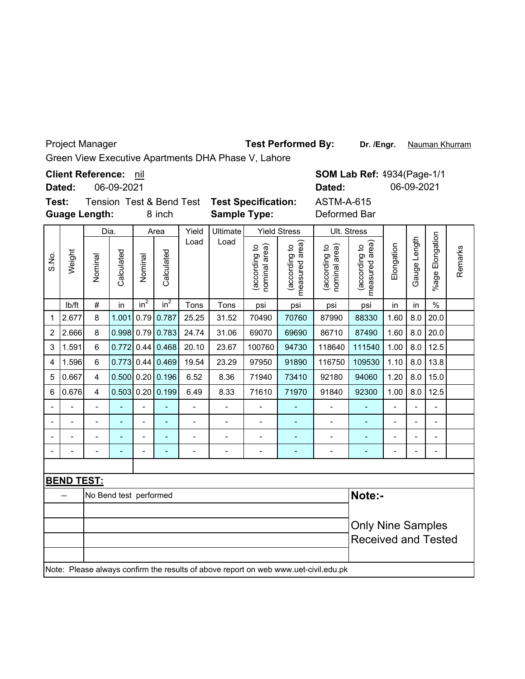Project Manager

**Test Performed By:**

Dr. /Engr. Nauman Khurram

Green View Executive Apartments DHA Phase V, Lahore

**Client Reference:** nil

06-09-2021 **Dated:**

**Test: Guage Length:**

8 inch

**Sample Type:** Deformed Bar

Tension Test & Bend Test **Test Specification:** ASTM-A-615

|             |                   | Dia.                   |                |                | Area                         | Yield          | Ultimate       |                                | <b>Yield Stress</b>            |                                                                                     | Ult. Stress                     |            |                          |                          |         |
|-------------|-------------------|------------------------|----------------|----------------|------------------------------|----------------|----------------|--------------------------------|--------------------------------|-------------------------------------------------------------------------------------|---------------------------------|------------|--------------------------|--------------------------|---------|
| S.No.       | Weight            | Nominal                | Calculated     | Nominal        | Calculated                   | Load           | Load           | (according to<br>nominal area) | measured area)<br>according to | (according to<br>nominal area)                                                      | measured area)<br>(according to | Elongation | Gauge Length             | Elongation<br>%age F     | Remarks |
|             | lb/ft             | $\#$                   | in             | $in^2$         | $in^2$                       | Tons           | Tons           | psi                            | psi                            | psi                                                                                 | psi                             | in         | in                       | $\frac{0}{0}$            |         |
| $\mathbf 1$ | 2.677             | 8                      | 1.001          | 0.79           | 0.787                        | 25.25          | 31.52          | 70490                          | 70760                          | 87990                                                                               | 88330                           | 1.60       | 8.0                      | 20.0                     |         |
| 2           | 2.666             | 8                      | $0.998$ 0.79   |                | 0.783                        | 24.74          | 31.06          | 69070                          | 69690                          | 86710                                                                               | 87490                           | 1.60       | 8.0                      | 20.0                     |         |
| 3           | 1.591             | 6                      | 0.772          | 0.44           | 0.468                        | 20.10          | 23.67          | 100760                         | 94730                          | 118640                                                                              | 111540                          | 1.00       | 8.0                      | 12.5                     |         |
| 4           | 1.596             | $6\phantom{1}$         | 0.773          | 0.44           | 0.469                        | 19.54          | 23.29          | 97950                          | 91890                          | 116750                                                                              | 109530                          | 1.10       | 8.0                      | 13.8                     |         |
| 5           | 0.667             | $\overline{4}$         |                |                | $0.500$ 0.20 0.196           | 6.52           | 8.36           | 71940                          | 73410                          | 92180                                                                               | 94060                           | 1.20       | 8.0                      | 15.0                     |         |
| 6           | 0.676             | 4                      |                |                | $0.503$ 0.20 0.199           | 6.49           | 8.33           | 71610                          | 71970                          | 91840                                                                               | 92300                           | 1.00       | 8.0                      | 12.5                     |         |
|             |                   |                        |                |                |                              |                |                |                                |                                |                                                                                     |                                 |            |                          |                          |         |
|             |                   | $\blacksquare$         | ÷              | -              | $\qquad \qquad \blacksquare$ | $\blacksquare$ | $\blacksquare$ | ٠                              |                                | $\blacksquare$                                                                      | ٠                               | -          | $\overline{\phantom{m}}$ | $\overline{\phantom{a}}$ |         |
|             |                   | $\blacksquare$         | $\overline{a}$ | $\overline{a}$ | $\qquad \qquad \blacksquare$ | $\overline{a}$ |                | $\overline{a}$                 |                                |                                                                                     |                                 | -          | $\overline{\phantom{a}}$ | Ξ.                       |         |
|             |                   |                        |                | $\overline{a}$ | $\overline{\phantom{a}}$     | $\blacksquare$ | $\overline{a}$ | $\overline{\phantom{a}}$       | $\overline{\phantom{0}}$       | $\blacksquare$                                                                      | ÷                               | -          | $\blacksquare$           | $\overline{\phantom{a}}$ |         |
|             |                   |                        |                |                |                              |                |                |                                |                                |                                                                                     |                                 |            |                          |                          |         |
|             | <b>BEND TEST:</b> |                        |                |                |                              |                |                |                                |                                |                                                                                     |                                 |            |                          |                          |         |
|             | --                | No Bend test performed |                |                |                              |                |                |                                |                                |                                                                                     | Note:-                          |            |                          |                          |         |
|             |                   |                        |                |                |                              |                |                |                                |                                |                                                                                     |                                 |            |                          |                          |         |
|             |                   |                        |                |                |                              |                |                |                                |                                |                                                                                     | <b>Only Nine Samples</b>        |            |                          |                          |         |
|             |                   |                        |                |                |                              |                |                | <b>Received and Tested</b>     |                                |                                                                                     |                                 |            |                          |                          |         |
|             |                   |                        |                |                |                              |                |                |                                |                                |                                                                                     |                                 |            |                          |                          |         |
|             |                   |                        |                |                |                              |                |                |                                |                                | Note: Please always confirm the results of above report on web www.uet-civil.edu.pk |                                 |            |                          |                          |         |

**SOM Lab Ref:** 4934(Page-1/1 **Dated:** 06-09-2021